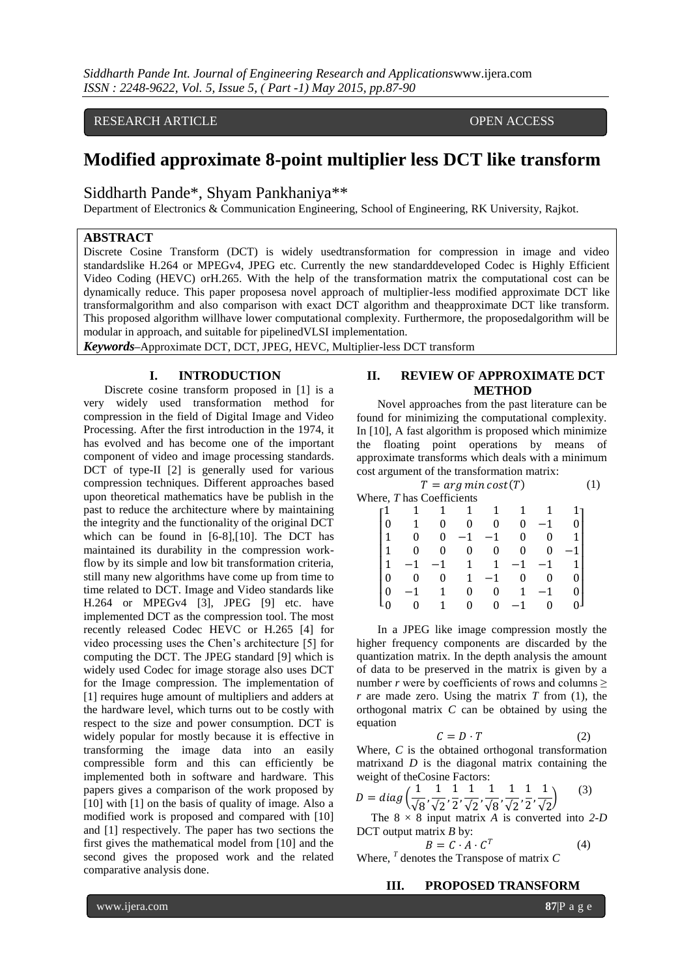RESEARCH ARTICLE **OPEN ACCESS** 

# **Modified approximate 8-point multiplier less DCT like transform**

Siddharth Pande\*, Shyam Pankhaniya\*\*

Department of Electronics & Communication Engineering, School of Engineering, RK University, Rajkot.

### **ABSTRACT**

Discrete Cosine Transform (DCT) is widely usedtransformation for compression in image and video standardslike H.264 or MPEGv4, JPEG etc. Currently the new standarddeveloped Codec is Highly Efficient Video Coding (HEVC) orH.265. With the help of the transformation matrix the computational cost can be dynamically reduce. This paper proposesa novel approach of multiplier-less modified approximate DCT like transformalgorithm and also comparison with exact DCT algorithm and theapproximate DCT like transform. This proposed algorithm willhave lower computational complexity. Furthermore, the proposedalgorithm will be modular in approach, and suitable for pipelinedVLSI implementation.

*Keywords***–**Approximate DCT, DCT, JPEG, HEVC, Multiplier-less DCT transform

# **I. INTRODUCTION**

Discrete cosine transform proposed in [1] is a very widely used transformation method for compression in the field of Digital Image and Video Processing. After the first introduction in the 1974, it has evolved and has become one of the important component of video and image processing standards. DCT of type-II [2] is generally used for various compression techniques. Different approaches based upon theoretical mathematics have be publish in the past to reduce the architecture where by maintaining the integrity and the functionality of the original DCT which can be found in [6-8],[10]. The DCT has maintained its durability in the compression workflow by its simple and low bit transformation criteria, still many new algorithms have come up from time to time related to DCT. Image and Video standards like H.264 or MPEGv4 [3], JPEG [9] etc. have implemented DCT as the compression tool. The most recently released Codec HEVC or H.265 [4] for video processing uses the Chen's architecture [5] for computing the DCT. The JPEG standard [9] which is widely used Codec for image storage also uses DCT for the Image compression. The implementation of [1] requires huge amount of multipliers and adders at the hardware level, which turns out to be costly with respect to the size and power consumption. DCT is widely popular for mostly because it is effective in transforming the image data into an easily compressible form and this can efficiently be implemented both in software and hardware. This papers gives a comparison of the work proposed by [10] with [1] on the basis of quality of image. Also a modified work is proposed and compared with [10] and [1] respectively. The paper has two sections the first gives the mathematical model from [10] and the second gives the proposed work and the related comparative analysis done.

# **II. REVIEW OF APPROXIMATE DCT METHOD**

Novel approaches from the past literature can be found for minimizing the computational complexity. In [10], A fast algorithm is proposed which minimize the floating point operations by means of approximate transforms which deals with a minimum cost argument of the transformation matrix:

| $T = arg min cost(T)$     |  |  |  |  |  |  |  |  |
|---------------------------|--|--|--|--|--|--|--|--|
| Where, T has Coefficients |  |  |  |  |  |  |  |  |
|                           |  |  |  |  |  |  |  |  |
|                           |  |  |  |  |  |  |  |  |
|                           |  |  |  |  |  |  |  |  |
|                           |  |  |  |  |  |  |  |  |
|                           |  |  |  |  |  |  |  |  |
|                           |  |  |  |  |  |  |  |  |
|                           |  |  |  |  |  |  |  |  |
|                           |  |  |  |  |  |  |  |  |

In a JPEG like image compression mostly the higher frequency components are discarded by the quantization matrix. In the depth analysis the amount of data to be preserved in the matrix is given by a number *r* were by coefficients of rows and columns  $\geq$  $r$  are made zero. Using the matrix  $T$  from (1), the orthogonal matrix *C* can be obtained by using the equation

$$
C = D \cdot T \tag{2}
$$

Where, *C* is the obtained orthogonal transformation matrixand *D* is the diagonal matrix containing the weight of theCosine Factors:

$$
D = diag\left(\frac{1}{\sqrt{8}}, \frac{1}{\sqrt{2}}, \frac{1}{2}, \frac{1}{\sqrt{2}}, \frac{1}{\sqrt{8}}, \frac{1}{\sqrt{2}}, \frac{1}{2}, \frac{1}{\sqrt{2}}\right)
$$
(3)

 The 8 × 8 input matrix *A* is converted into *2-D* DCT output matrix *B* by:

$$
B = C \cdot A \cdot C^T \tag{4}
$$

Where, *<sup>T</sup>* denotes the Transpose of matrix *C*

## **III. PROPOSED TRANSFORM**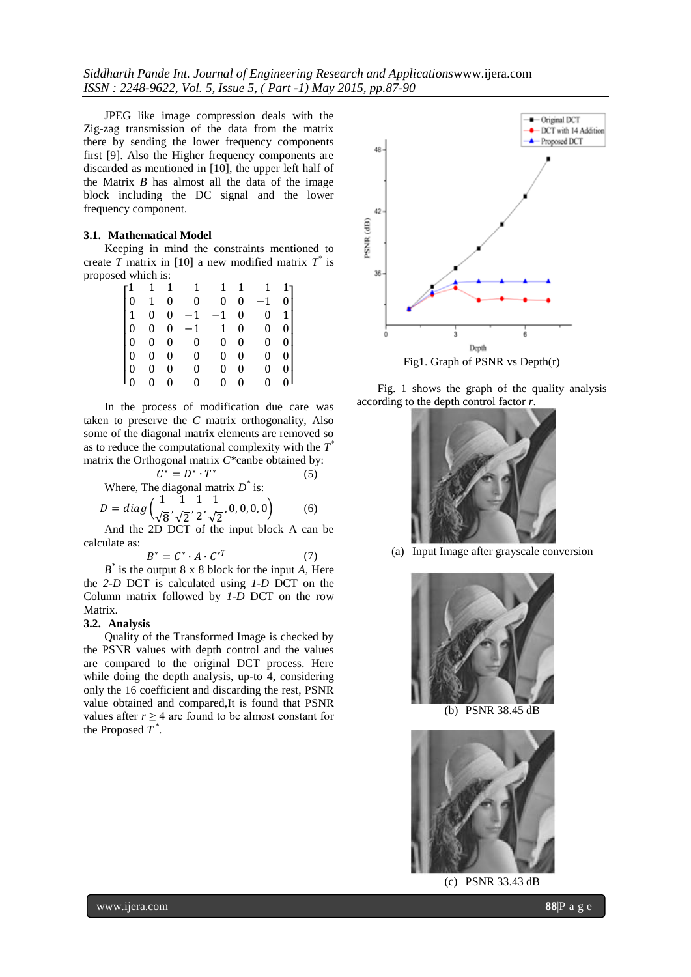JPEG like image compression deals with the Zig-zag transmission of the data from the matrix there by sending the lower frequency components first [9]. Also the Higher frequency components are discarded as mentioned in [10], the upper left half of the Matrix *B* has almost all the data of the image block including the DC signal and the lower frequency component.

#### **3.1. Mathematical Model**

Keeping in mind the constraints mentioned to create *T* matrix in [10] a new modified matrix *T \** is proposed which is:

|                                                                  | 1 1              |                  | $\mathbf{1}$ |                | 1 1          | 1            | 1 <sub>1</sub> |  |
|------------------------------------------------------------------|------------------|------------------|--------------|----------------|--------------|--------------|----------------|--|
|                                                                  | $\mathbf{1}$     | 0                | $\mathbf 0$  | 0              | 0            | $-1$         | $\overline{0}$ |  |
|                                                                  | $\mathbf{0}$     | $\mathbf{0}$     | $-1$         | $-1$           | $\mathbf{0}$ | $\mathbf{0}$ | 1              |  |
|                                                                  | $\mathbf{0}$     | $\mathbf{0}$     | $-1$         | $\mathbf{1}$   | $\mathbf{0}$ | $\mathbf{0}$ | 0 <sup>1</sup> |  |
| $\begin{bmatrix} 1\ 0\ 1\ 0\ 0\ 0\ 0\ 0\ 0\ 0\ 0\ \end{bmatrix}$ | $\boldsymbol{0}$ | $\mathbf{0}$     | 0            | 0              | $\mathbf{0}$ | $\mathbf{0}$ | $\overline{0}$ |  |
|                                                                  | 0                | $\boldsymbol{0}$ | 0            | 0              | 0            | $\mathbf{0}$ | $\overline{0}$ |  |
|                                                                  | 0                | 0                | 0            | 0              | 0            | $\mathbf{0}$ | $\overline{0}$ |  |
|                                                                  | 0                | $\boldsymbol{0}$ | $\mathbf{0}$ | $\overline{0}$ | $\mathbf{0}$ | $\mathbf{0}$ | 0 <sup>1</sup> |  |

In the process of modification due care was taken to preserve the *C* matrix orthogonality, Also some of the diagonal matrix elements are removed so as to reduce the computational complexity with the *T \** matrix the Orthogonal matrix *C\**canbe obtained by:

$$
C^* = D^* \cdot T^*
$$
 (5)  
Where, The diagonal matrix  $D^*$  is:  

$$
\begin{pmatrix} 1 & 1 & 1 & 1 & 0 & 0 & 0 & 0 \\ 0 & 1 & 1 & 1 & 0 & 0 & 0 & 0 \\ 0 & 0 & 0 & 0 & 0 & 0 & 0 \\ 0 & 0 & 0 & 0 & 0 & 0 & 0 \end{pmatrix}
$$
 (6)

$$
D = diag\left(\frac{1}{\sqrt{8}}, \frac{1}{\sqrt{2}}, \frac{1}{2}, \frac{1}{\sqrt{2}}, 0, 0, 0, 0\right)
$$
 (6)  
And the 2D DCT of the input block A can

D DCT of the input block A can be calculate as:

$$
B^* = C^* \cdot A \cdot C^{*T} \tag{7}
$$

*B \** is the output 8 x 8 block for the input *A*, Here the *2-D* DCT is calculated using *1-D* DCT on the Column matrix followed by *1-D* DCT on the row Matrix.

#### **3.2. Analysis**

Quality of the Transformed Image is checked by the PSNR values with depth control and the values are compared to the original DCT process. Here while doing the depth analysis, up-to 4, considering only the 16 coefficient and discarding the rest, PSNR value obtained and compared,It is found that PSNR values after  $r \geq 4$  are found to be almost constant for the Proposed *T \** .



Fig. 1 shows the graph of the quality analysis according to the depth control factor *r*.



(a) Input Image after grayscale conversion



(b) PSNR 38.45 dB



(c) PSNR 33.43 dB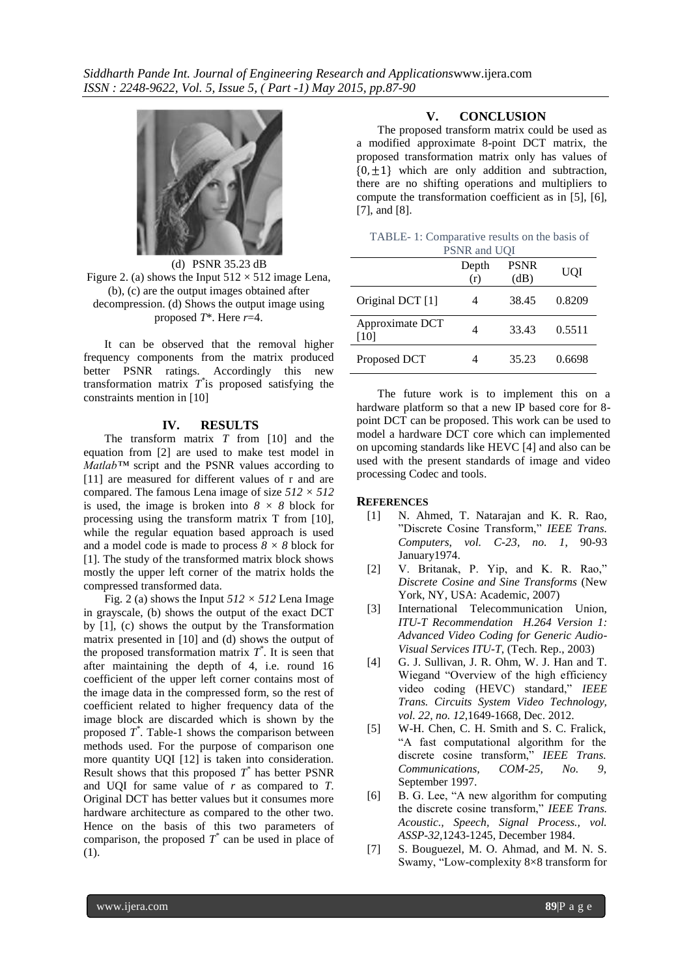

(d) PSNR 35.23 dB Figure 2. (a) shows the Input  $512 \times 512$  image Lena, (b), (c) are the output images obtained after decompression. (d) Shows the output image using proposed *T*\*. Here *r*=4.

It can be observed that the removal higher frequency components from the matrix produced better PSNR ratings. Accordingly this new transformation matrix *T \** is proposed satisfying the constraints mention in [10]

#### **IV. RESULTS**

The transform matrix *T* from [10] and the equation from [2] are used to make test model in *Matlab™* script and the PSNR values according to [11] are measured for different values of r and are compared. The famous Lena image of size *512 × 512* is used, the image is broken into  $8 \times 8$  block for processing using the transform matrix T from [10], while the regular equation based approach is used and a model code is made to process  $8 \times 8$  block for [1]. The study of the transformed matrix block shows mostly the upper left corner of the matrix holds the compressed transformed data.

Fig. 2 (a) shows the Input  $512 \times 512$  Lena Image in grayscale, (b) shows the output of the exact DCT by [1], (c) shows the output by the Transformation matrix presented in [10] and (d) shows the output of the proposed transformation matrix  $T^*$ . It is seen that after maintaining the depth of 4, i.e. round 16 coefficient of the upper left corner contains most of the image data in the compressed form, so the rest of coefficient related to higher frequency data of the image block are discarded which is shown by the proposed  $T^*$ . Table-1 shows the comparison between methods used. For the purpose of comparison one more quantity UQI [12] is taken into consideration. Result shows that this proposed  $T^*$  has better PSNR and UQI for same value of *r* as compared to *T*. Original DCT has better values but it consumes more hardware architecture as compared to the other two. Hence on the basis of this two parameters of comparison, the proposed  $T^*$  can be used in place of (1).

### **V. CONCLUSION**

The proposed transform matrix could be used as a modified approximate 8-point DCT matrix, the proposed transformation matrix only has values of  ${0, \pm 1}$  which are only addition and subtraction, there are no shifting operations and multipliers to compute the transformation coefficient as in [5], [6], [7], and [8].

| TABLE-1: Comparative results on the basis of |  |  |  |
|----------------------------------------------|--|--|--|
| $D CND$ and $I I OI$                         |  |  |  |

|                           | PSNR and UQI |                     |        |  |  |
|---------------------------|--------------|---------------------|--------|--|--|
|                           | Depth<br>(r) | <b>PSNR</b><br>(dB) | UQI    |  |  |
| Original DCT [1]          |              | 38.45               | 0.8209 |  |  |
| Approximate DCT<br>$[10]$ |              | 33.43               | 0.5511 |  |  |
| Proposed DCT              |              | 35.23               | 0.6698 |  |  |

The future work is to implement this on a hardware platform so that a new IP based core for 8 point DCT can be proposed. This work can be used to model a hardware DCT core which can implemented on upcoming standards like HEVC [4] and also can be used with the present standards of image and video processing Codec and tools.

#### **REFERENCES**

- [1] N. Ahmed, T. Natarajan and K. R. Rao, "Discrete Cosine Transform," *IEEE Trans. Computers*, *vol. C-23, no. 1*, 90-93 January1974.
- [2] V. Britanak, P. Yip, and K. R. Rao," *Discrete Cosine and Sine Transforms* (New York, NY, USA: Academic, 2007)
- [3] International Telecommunication Union, *ITU-T Recommendation H.264 Version 1: Advanced Video Coding for Generic Audio-Visual Services ITU-T*, (Tech. Rep., 2003)
- [4] G. J. Sullivan, J. R. Ohm, W. J. Han and T. Wiegand "Overview of the high efficiency video coding (HEVC) standard," *IEEE Trans. Circuits System Video Technology, vol. 22, no. 12*,1649-1668, Dec. 2012.
- [5] W-H. Chen, C. H. Smith and S. C. Fralick, "A fast computational algorithm for the discrete cosine transform," *IEEE Trans. Communications, COM-25, No. 9*, September 1997.
- [6] B. G. Lee, "A new algorithm for computing the discrete cosine transform," *IEEE Trans. Acoustic., Speech, Signal Process., vol. ASSP-32,*1243-1245, December 1984.
- [7] S. Bouguezel, M. O. Ahmad, and M. N. S. Swamy, "Low-complexity 8×8 transform for